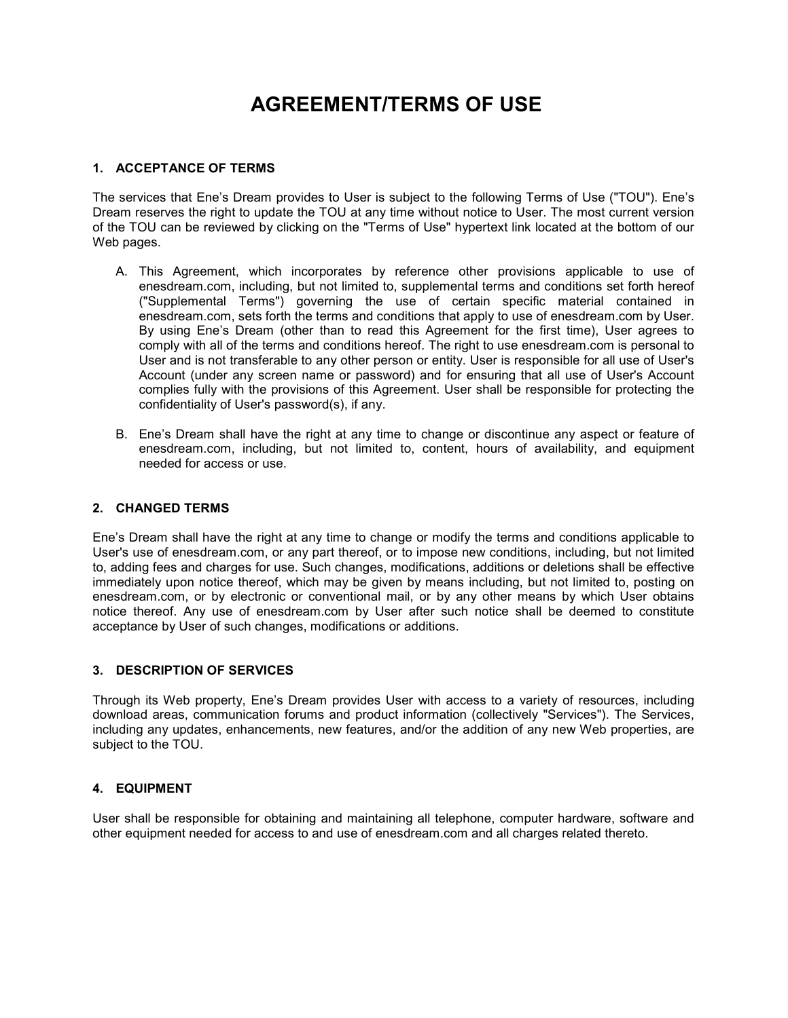# AGREEMENT/TERMS OF USE

## 1. ACCEPTANCE OF TERMS

The services that Ene's Dream provides to User is subject to the following Terms of Use ("TOU"). Ene's Dream reserves the right to update the TOU at any time without notice to User. The most current version of the TOU can be reviewed by clicking on the "Terms of Use" hypertext link located at the bottom of our Web pages.

- A. This Agreement, which incorporates by reference other provisions applicable to use of enesdream.com, including, but not limited to, supplemental terms and conditions set forth hereof ("Supplemental Terms") governing the use of certain specific material contained in enesdream.com, sets forth the terms and conditions that apply to use of enesdream.com by User. By using Ene's Dream (other than to read this Agreement for the first time), User agrees to comply with all of the terms and conditions hereof. The right to use enesdream.com is personal to User and is not transferable to any other person or entity. User is responsible for all use of User's Account (under any screen name or password) and for ensuring that all use of User's Account complies fully with the provisions of this Agreement. User shall be responsible for protecting the confidentiality of User's password(s), if any.
- B. Ene's Dream shall have the right at any time to change or discontinue any aspect or feature of enesdream.com, including, but not limited to, content, hours of availability, and equipment needed for access or use.

#### 2. CHANGED TERMS

Ene's Dream shall have the right at any time to change or modify the terms and conditions applicable to User's use of enesdream.com, or any part thereof, or to impose new conditions, including, but not limited to, adding fees and charges for use. Such changes, modifications, additions or deletions shall be effective immediately upon notice thereof, which may be given by means including, but not limited to, posting on enesdream.com, or by electronic or conventional mail, or by any other means by which User obtains notice thereof. Any use of enesdream.com by User after such notice shall be deemed to constitute acceptance by User of such changes, modifications or additions.

#### 3. DESCRIPTION OF SERVICES

Through its Web property, Ene's Dream provides User with access to a variety of resources, including download areas, communication forums and product information (collectively "Services"). The Services, including any updates, enhancements, new features, and/or the addition of any new Web properties, are subject to the TOU.

#### 4. EQUIPMENT

User shall be responsible for obtaining and maintaining all telephone, computer hardware, software and other equipment needed for access to and use of enesdream.com and all charges related thereto.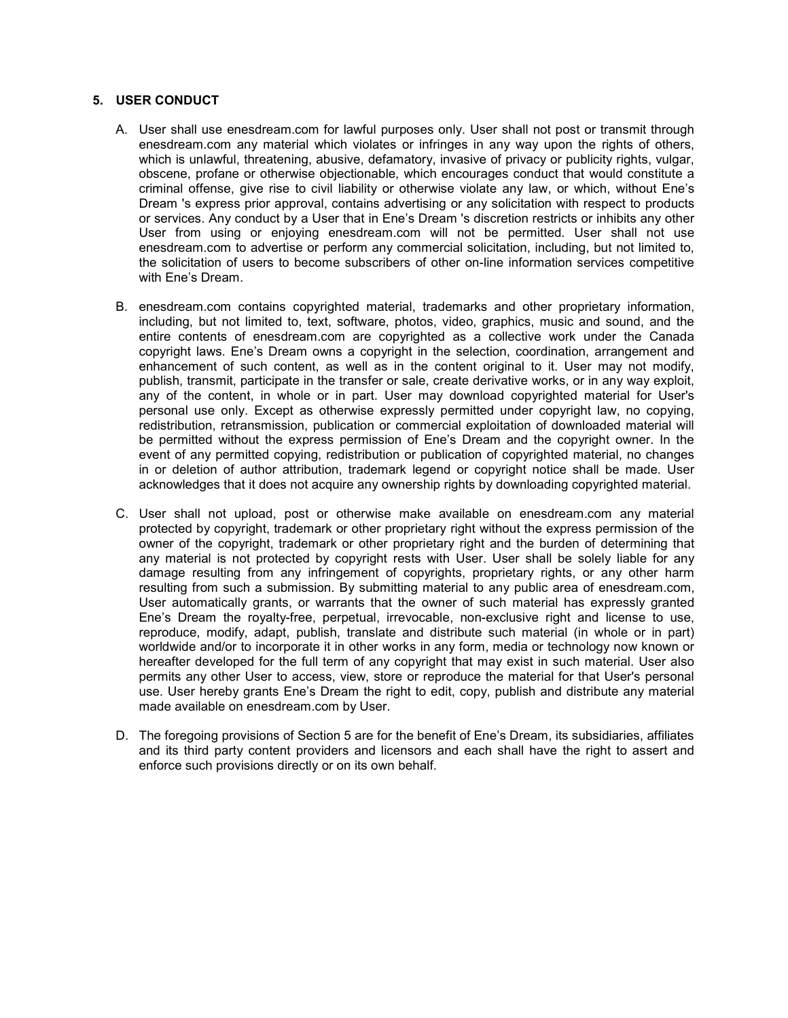## 5. USER CONDUCT

- A. User shall use enesdream.com for lawful purposes only. User shall not post or transmit through enesdream.com any material which violates or infringes in any way upon the rights of others, which is unlawful, threatening, abusive, defamatory, invasive of privacy or publicity rights, vulgar, obscene, profane or otherwise objectionable, which encourages conduct that would constitute a criminal offense, give rise to civil liability or otherwise violate any law, or which, without Ene's Dream 's express prior approval, contains advertising or any solicitation with respect to products or services. Any conduct by a User that in Ene's Dream 's discretion restricts or inhibits any other User from using or enjoying enesdream.com will not be permitted. User shall not use enesdream.com to advertise or perform any commercial solicitation, including, but not limited to, the solicitation of users to become subscribers of other on-line information services competitive with Ene's Dream.
- B. enesdream.com contains copyrighted material, trademarks and other proprietary information, including, but not limited to, text, software, photos, video, graphics, music and sound, and the entire contents of enesdream.com are copyrighted as a collective work under the Canada copyright laws. Ene's Dream owns a copyright in the selection, coordination, arrangement and enhancement of such content, as well as in the content original to it. User may not modify, publish, transmit, participate in the transfer or sale, create derivative works, or in any way exploit, any of the content, in whole or in part. User may download copyrighted material for User's personal use only. Except as otherwise expressly permitted under copyright law, no copying, redistribution, retransmission, publication or commercial exploitation of downloaded material will be permitted without the express permission of Ene's Dream and the copyright owner. In the event of any permitted copying, redistribution or publication of copyrighted material, no changes in or deletion of author attribution, trademark legend or copyright notice shall be made. User acknowledges that it does not acquire any ownership rights by downloading copyrighted material.
- C. User shall not upload, post or otherwise make available on enesdream.com any material protected by copyright, trademark or other proprietary right without the express permission of the owner of the copyright, trademark or other proprietary right and the burden of determining that any material is not protected by copyright rests with User. User shall be solely liable for any damage resulting from any infringement of copyrights, proprietary rights, or any other harm resulting from such a submission. By submitting material to any public area of enesdream.com, User automatically grants, or warrants that the owner of such material has expressly granted Ene's Dream the royalty-free, perpetual, irrevocable, non-exclusive right and license to use, reproduce, modify, adapt, publish, translate and distribute such material (in whole or in part) worldwide and/or to incorporate it in other works in any form, media or technology now known or hereafter developed for the full term of any copyright that may exist in such material. User also permits any other User to access, view, store or reproduce the material for that User's personal use. User hereby grants Ene's Dream the right to edit, copy, publish and distribute any material made available on enesdream.com by User.
- D. The foregoing provisions of Section 5 are for the benefit of Ene's Dream, its subsidiaries, affiliates and its third party content providers and licensors and each shall have the right to assert and enforce such provisions directly or on its own behalf.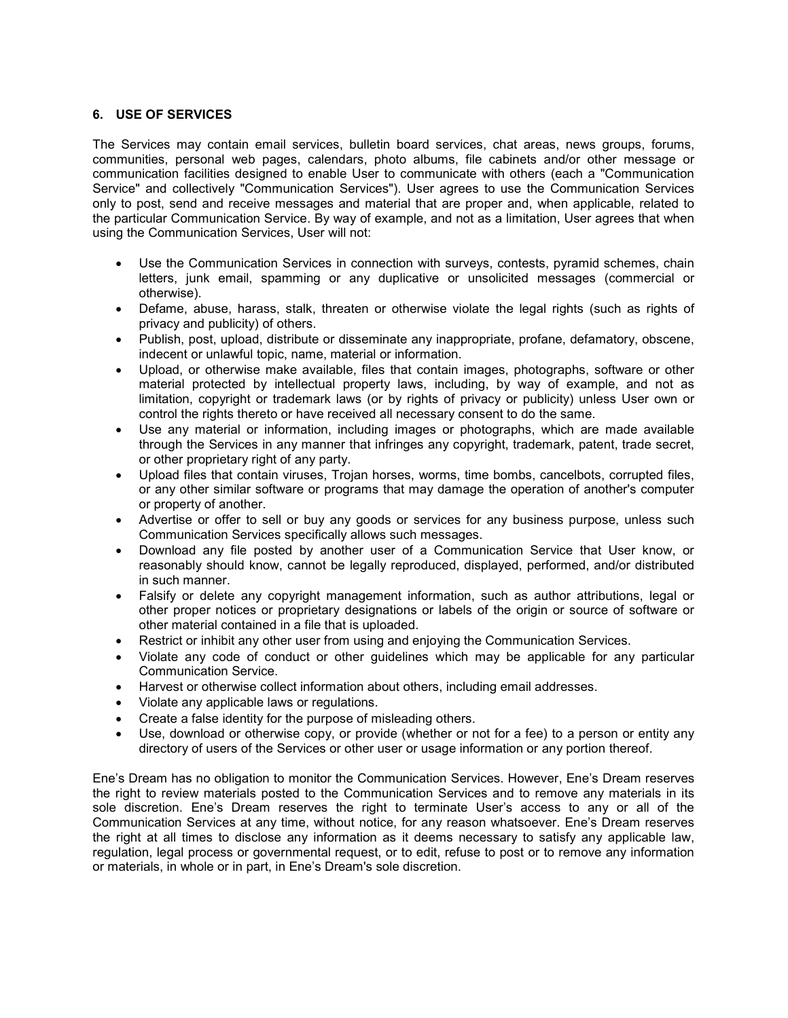## 6. USE OF SERVICES

The Services may contain email services, bulletin board services, chat areas, news groups, forums, communities, personal web pages, calendars, photo albums, file cabinets and/or other message or communication facilities designed to enable User to communicate with others (each a "Communication Service" and collectively "Communication Services"). User agrees to use the Communication Services only to post, send and receive messages and material that are proper and, when applicable, related to the particular Communication Service. By way of example, and not as a limitation, User agrees that when using the Communication Services, User will not:

- Use the Communication Services in connection with surveys, contests, pyramid schemes, chain letters, junk email, spamming or any duplicative or unsolicited messages (commercial or otherwise).
- Defame, abuse, harass, stalk, threaten or otherwise violate the legal rights (such as rights of privacy and publicity) of others.
- Publish, post, upload, distribute or disseminate any inappropriate, profane, defamatory, obscene, indecent or unlawful topic, name, material or information.
- Upload, or otherwise make available, files that contain images, photographs, software or other material protected by intellectual property laws, including, by way of example, and not as limitation, copyright or trademark laws (or by rights of privacy or publicity) unless User own or control the rights thereto or have received all necessary consent to do the same.
- Use any material or information, including images or photographs, which are made available through the Services in any manner that infringes any copyright, trademark, patent, trade secret, or other proprietary right of any party.
- Upload files that contain viruses, Trojan horses, worms, time bombs, cancelbots, corrupted files, or any other similar software or programs that may damage the operation of another's computer or property of another.
- Advertise or offer to sell or buy any goods or services for any business purpose, unless such Communication Services specifically allows such messages.
- Download any file posted by another user of a Communication Service that User know, or reasonably should know, cannot be legally reproduced, displayed, performed, and/or distributed in such manner.
- Falsify or delete any copyright management information, such as author attributions, legal or other proper notices or proprietary designations or labels of the origin or source of software or other material contained in a file that is uploaded.
- Restrict or inhibit any other user from using and enjoying the Communication Services.
- Violate any code of conduct or other guidelines which may be applicable for any particular Communication Service.
- Harvest or otherwise collect information about others, including email addresses.
- Violate any applicable laws or regulations.
- Create a false identity for the purpose of misleading others.
- Use, download or otherwise copy, or provide (whether or not for a fee) to a person or entity any directory of users of the Services or other user or usage information or any portion thereof.

Ene's Dream has no obligation to monitor the Communication Services. However, Ene's Dream reserves the right to review materials posted to the Communication Services and to remove any materials in its sole discretion. Ene's Dream reserves the right to terminate User's access to any or all of the Communication Services at any time, without notice, for any reason whatsoever. Ene's Dream reserves the right at all times to disclose any information as it deems necessary to satisfy any applicable law, regulation, legal process or governmental request, or to edit, refuse to post or to remove any information or materials, in whole or in part, in Ene's Dream's sole discretion.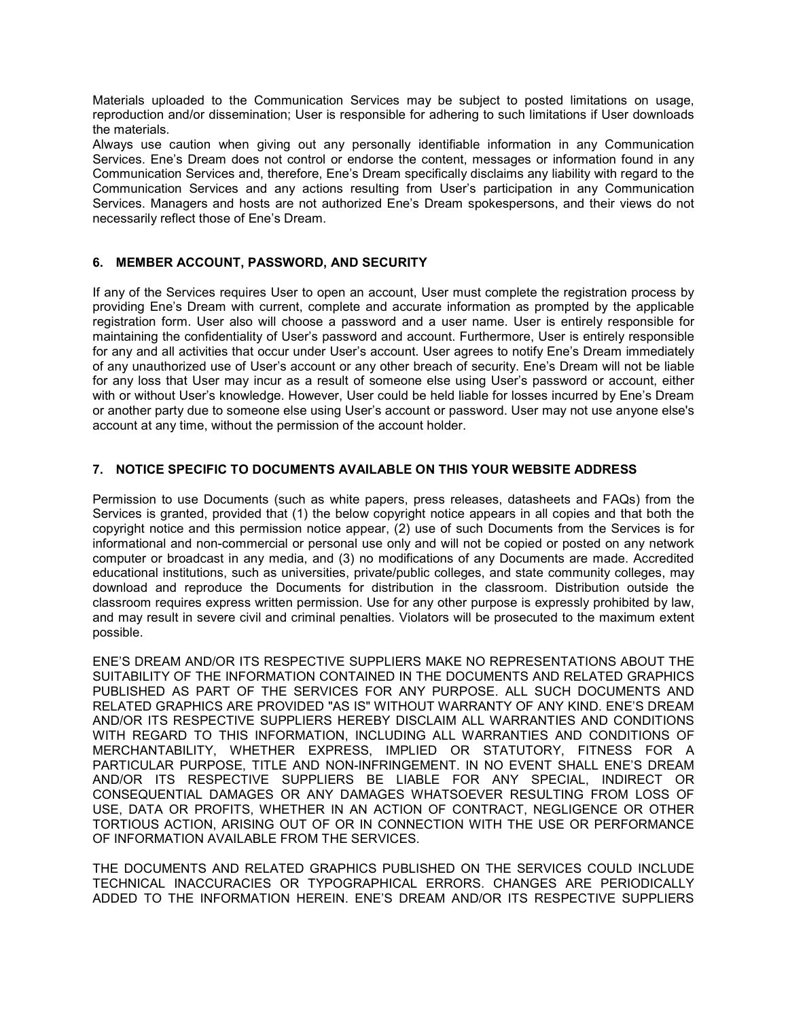Materials uploaded to the Communication Services may be subject to posted limitations on usage, reproduction and/or dissemination; User is responsible for adhering to such limitations if User downloads the materials.

Always use caution when giving out any personally identifiable information in any Communication Services. Ene's Dream does not control or endorse the content, messages or information found in any Communication Services and, therefore, Ene's Dream specifically disclaims any liability with regard to the Communication Services and any actions resulting from User's participation in any Communication Services. Managers and hosts are not authorized Ene's Dream spokespersons, and their views do not necessarily reflect those of Ene's Dream.

## 6. MEMBER ACCOUNT, PASSWORD, AND SECURITY

If any of the Services requires User to open an account, User must complete the registration process by providing Ene's Dream with current, complete and accurate information as prompted by the applicable registration form. User also will choose a password and a user name. User is entirely responsible for maintaining the confidentiality of User's password and account. Furthermore, User is entirely responsible for any and all activities that occur under User's account. User agrees to notify Ene's Dream immediately of any unauthorized use of User's account or any other breach of security. Ene's Dream will not be liable for any loss that User may incur as a result of someone else using User's password or account, either with or without User's knowledge. However, User could be held liable for losses incurred by Ene's Dream or another party due to someone else using User's account or password. User may not use anyone else's account at any time, without the permission of the account holder.

## 7. NOTICE SPECIFIC TO DOCUMENTS AVAILABLE ON THIS YOUR WEBSITE ADDRESS

Permission to use Documents (such as white papers, press releases, datasheets and FAQs) from the Services is granted, provided that (1) the below copyright notice appears in all copies and that both the copyright notice and this permission notice appear, (2) use of such Documents from the Services is for informational and non-commercial or personal use only and will not be copied or posted on any network computer or broadcast in any media, and (3) no modifications of any Documents are made. Accredited educational institutions, such as universities, private/public colleges, and state community colleges, may download and reproduce the Documents for distribution in the classroom. Distribution outside the classroom requires express written permission. Use for any other purpose is expressly prohibited by law, and may result in severe civil and criminal penalties. Violators will be prosecuted to the maximum extent possible.

ENE'S DREAM AND/OR ITS RESPECTIVE SUPPLIERS MAKE NO REPRESENTATIONS ABOUT THE SUITABILITY OF THE INFORMATION CONTAINED IN THE DOCUMENTS AND RELATED GRAPHICS PUBLISHED AS PART OF THE SERVICES FOR ANY PURPOSE. ALL SUCH DOCUMENTS AND RELATED GRAPHICS ARE PROVIDED "AS IS" WITHOUT WARRANTY OF ANY KIND. ENE'S DREAM AND/OR ITS RESPECTIVE SUPPLIERS HEREBY DISCLAIM ALL WARRANTIES AND CONDITIONS WITH REGARD TO THIS INFORMATION, INCLUDING ALL WARRANTIES AND CONDITIONS OF MERCHANTABILITY, WHETHER EXPRESS, IMPLIED OR STATUTORY, FITNESS FOR A PARTICULAR PURPOSE, TITLE AND NON-INFRINGEMENT. IN NO EVENT SHALL ENE'S DREAM AND/OR ITS RESPECTIVE SUPPLIERS BE LIABLE FOR ANY SPECIAL, INDIRECT OR CONSEQUENTIAL DAMAGES OR ANY DAMAGES WHATSOEVER RESULTING FROM LOSS OF USE, DATA OR PROFITS, WHETHER IN AN ACTION OF CONTRACT, NEGLIGENCE OR OTHER TORTIOUS ACTION, ARISING OUT OF OR IN CONNECTION WITH THE USE OR PERFORMANCE OF INFORMATION AVAILABLE FROM THE SERVICES.

THE DOCUMENTS AND RELATED GRAPHICS PUBLISHED ON THE SERVICES COULD INCLUDE TECHNICAL INACCURACIES OR TYPOGRAPHICAL ERRORS. CHANGES ARE PERIODICALLY ADDED TO THE INFORMATION HEREIN. ENE'S DREAM AND/OR ITS RESPECTIVE SUPPLIERS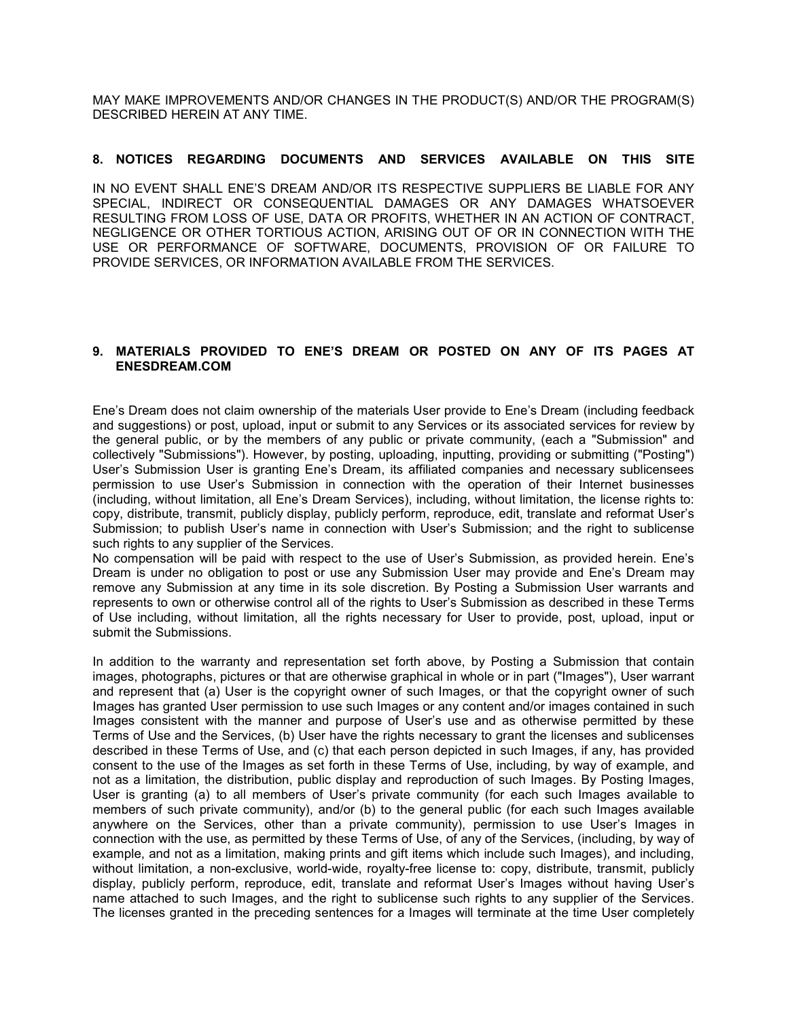MAY MAKE IMPROVEMENTS AND/OR CHANGES IN THE PRODUCT(S) AND/OR THE PROGRAM(S) DESCRIBED HEREIN AT ANY TIME.

#### 8. NOTICES REGARDING DOCUMENTS AND SERVICES AVAILABLE ON THIS SITE

IN NO EVENT SHALL ENE'S DREAM AND/OR ITS RESPECTIVE SUPPLIERS BE LIABLE FOR ANY SPECIAL, INDIRECT OR CONSEQUENTIAL DAMAGES OR ANY DAMAGES WHATSOEVER RESULTING FROM LOSS OF USE, DATA OR PROFITS, WHETHER IN AN ACTION OF CONTRACT, NEGLIGENCE OR OTHER TORTIOUS ACTION, ARISING OUT OF OR IN CONNECTION WITH THE USE OR PERFORMANCE OF SOFTWARE, DOCUMENTS, PROVISION OF OR FAILURE TO PROVIDE SERVICES, OR INFORMATION AVAILABLE FROM THE SERVICES.

## 9. MATERIALS PROVIDED TO ENE'S DREAM OR POSTED ON ANY OF ITS PAGES AT ENESDREAM.COM

Ene's Dream does not claim ownership of the materials User provide to Ene's Dream (including feedback and suggestions) or post, upload, input or submit to any Services or its associated services for review by the general public, or by the members of any public or private community, (each a "Submission" and collectively "Submissions"). However, by posting, uploading, inputting, providing or submitting ("Posting") User's Submission User is granting Ene's Dream, its affiliated companies and necessary sublicensees permission to use User's Submission in connection with the operation of their Internet businesses (including, without limitation, all Ene's Dream Services), including, without limitation, the license rights to: copy, distribute, transmit, publicly display, publicly perform, reproduce, edit, translate and reformat User's Submission; to publish User's name in connection with User's Submission; and the right to sublicense such rights to any supplier of the Services.

No compensation will be paid with respect to the use of User's Submission, as provided herein. Ene's Dream is under no obligation to post or use any Submission User may provide and Ene's Dream may remove any Submission at any time in its sole discretion. By Posting a Submission User warrants and represents to own or otherwise control all of the rights to User's Submission as described in these Terms of Use including, without limitation, all the rights necessary for User to provide, post, upload, input or submit the Submissions.

In addition to the warranty and representation set forth above, by Posting a Submission that contain images, photographs, pictures or that are otherwise graphical in whole or in part ("Images"), User warrant and represent that (a) User is the copyright owner of such Images, or that the copyright owner of such Images has granted User permission to use such Images or any content and/or images contained in such Images consistent with the manner and purpose of User's use and as otherwise permitted by these Terms of Use and the Services, (b) User have the rights necessary to grant the licenses and sublicenses described in these Terms of Use, and (c) that each person depicted in such Images, if any, has provided consent to the use of the Images as set forth in these Terms of Use, including, by way of example, and not as a limitation, the distribution, public display and reproduction of such Images. By Posting Images, User is granting (a) to all members of User's private community (for each such Images available to members of such private community), and/or (b) to the general public (for each such Images available anywhere on the Services, other than a private community), permission to use User's Images in connection with the use, as permitted by these Terms of Use, of any of the Services, (including, by way of example, and not as a limitation, making prints and gift items which include such Images), and including, without limitation, a non-exclusive, world-wide, royalty-free license to: copy, distribute, transmit, publicly display, publicly perform, reproduce, edit, translate and reformat User's Images without having User's name attached to such Images, and the right to sublicense such rights to any supplier of the Services. The licenses granted in the preceding sentences for a Images will terminate at the time User completely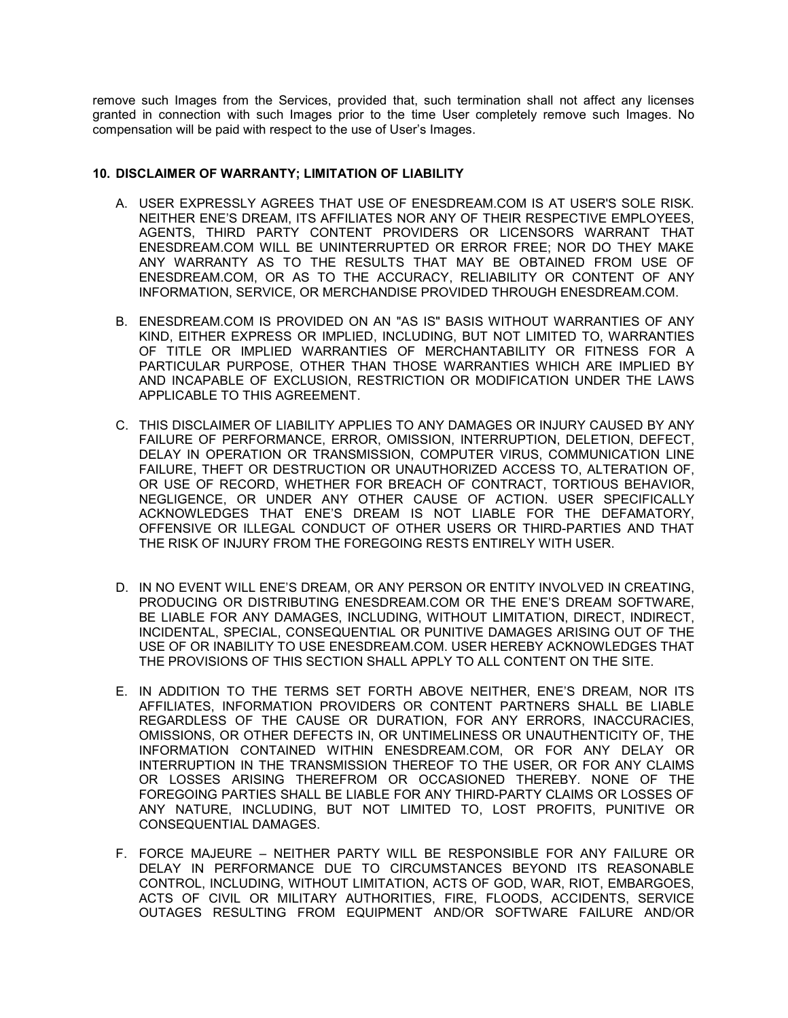remove such Images from the Services, provided that, such termination shall not affect any licenses granted in connection with such Images prior to the time User completely remove such Images. No compensation will be paid with respect to the use of User's Images.

## 10. DISCLAIMER OF WARRANTY; LIMITATION OF LIABILITY

- A. USER EXPRESSLY AGREES THAT USE OF ENESDREAM.COM IS AT USER'S SOLE RISK. NEITHER ENE'S DREAM, ITS AFFILIATES NOR ANY OF THEIR RESPECTIVE EMPLOYEES, AGENTS, THIRD PARTY CONTENT PROVIDERS OR LICENSORS WARRANT THAT ENESDREAM.COM WILL BE UNINTERRUPTED OR ERROR FREE; NOR DO THEY MAKE ANY WARRANTY AS TO THE RESULTS THAT MAY BE OBTAINED FROM USE OF ENESDREAM.COM, OR AS TO THE ACCURACY, RELIABILITY OR CONTENT OF ANY INFORMATION, SERVICE, OR MERCHANDISE PROVIDED THROUGH ENESDREAM.COM.
- B. ENESDREAM.COM IS PROVIDED ON AN "AS IS" BASIS WITHOUT WARRANTIES OF ANY KIND, EITHER EXPRESS OR IMPLIED, INCLUDING, BUT NOT LIMITED TO, WARRANTIES OF TITLE OR IMPLIED WARRANTIES OF MERCHANTABILITY OR FITNESS FOR A PARTICULAR PURPOSE, OTHER THAN THOSE WARRANTIES WHICH ARE IMPLIED BY AND INCAPABLE OF EXCLUSION, RESTRICTION OR MODIFICATION UNDER THE LAWS APPLICABLE TO THIS AGREEMENT.
- C. THIS DISCLAIMER OF LIABILITY APPLIES TO ANY DAMAGES OR INJURY CAUSED BY ANY FAILURE OF PERFORMANCE, ERROR, OMISSION, INTERRUPTION, DELETION, DEFECT, DELAY IN OPERATION OR TRANSMISSION, COMPUTER VIRUS, COMMUNICATION LINE FAILURE, THEFT OR DESTRUCTION OR UNAUTHORIZED ACCESS TO, ALTERATION OF, OR USE OF RECORD, WHETHER FOR BREACH OF CONTRACT, TORTIOUS BEHAVIOR, NEGLIGENCE, OR UNDER ANY OTHER CAUSE OF ACTION. USER SPECIFICALLY ACKNOWLEDGES THAT ENE'S DREAM IS NOT LIABLE FOR THE DEFAMATORY, OFFENSIVE OR ILLEGAL CONDUCT OF OTHER USERS OR THIRD-PARTIES AND THAT THE RISK OF INJURY FROM THE FOREGOING RESTS ENTIRELY WITH USER.
- D. IN NO EVENT WILL ENE'S DREAM, OR ANY PERSON OR ENTITY INVOLVED IN CREATING, PRODUCING OR DISTRIBUTING ENESDREAM.COM OR THE ENE'S DREAM SOFTWARE, BE LIABLE FOR ANY DAMAGES, INCLUDING, WITHOUT LIMITATION, DIRECT, INDIRECT, INCIDENTAL, SPECIAL, CONSEQUENTIAL OR PUNITIVE DAMAGES ARISING OUT OF THE USE OF OR INABILITY TO USE ENESDREAM.COM. USER HEREBY ACKNOWLEDGES THAT THE PROVISIONS OF THIS SECTION SHALL APPLY TO ALL CONTENT ON THE SITE.
- E. IN ADDITION TO THE TERMS SET FORTH ABOVE NEITHER, ENE'S DREAM, NOR ITS AFFILIATES, INFORMATION PROVIDERS OR CONTENT PARTNERS SHALL BE LIABLE REGARDLESS OF THE CAUSE OR DURATION, FOR ANY ERRORS, INACCURACIES, OMISSIONS, OR OTHER DEFECTS IN, OR UNTIMELINESS OR UNAUTHENTICITY OF, THE INFORMATION CONTAINED WITHIN ENESDREAM.COM, OR FOR ANY DELAY OR INTERRUPTION IN THE TRANSMISSION THEREOF TO THE USER, OR FOR ANY CLAIMS OR LOSSES ARISING THEREFROM OR OCCASIONED THEREBY. NONE OF THE FOREGOING PARTIES SHALL BE LIABLE FOR ANY THIRD-PARTY CLAIMS OR LOSSES OF ANY NATURE, INCLUDING, BUT NOT LIMITED TO, LOST PROFITS, PUNITIVE OR CONSEQUENTIAL DAMAGES.
- F. FORCE MAJEURE NEITHER PARTY WILL BE RESPONSIBLE FOR ANY FAILURE OR DELAY IN PERFORMANCE DUE TO CIRCUMSTANCES BEYOND ITS REASONABLE CONTROL, INCLUDING, WITHOUT LIMITATION, ACTS OF GOD, WAR, RIOT, EMBARGOES, ACTS OF CIVIL OR MILITARY AUTHORITIES, FIRE, FLOODS, ACCIDENTS, SERVICE OUTAGES RESULTING FROM EQUIPMENT AND/OR SOFTWARE FAILURE AND/OR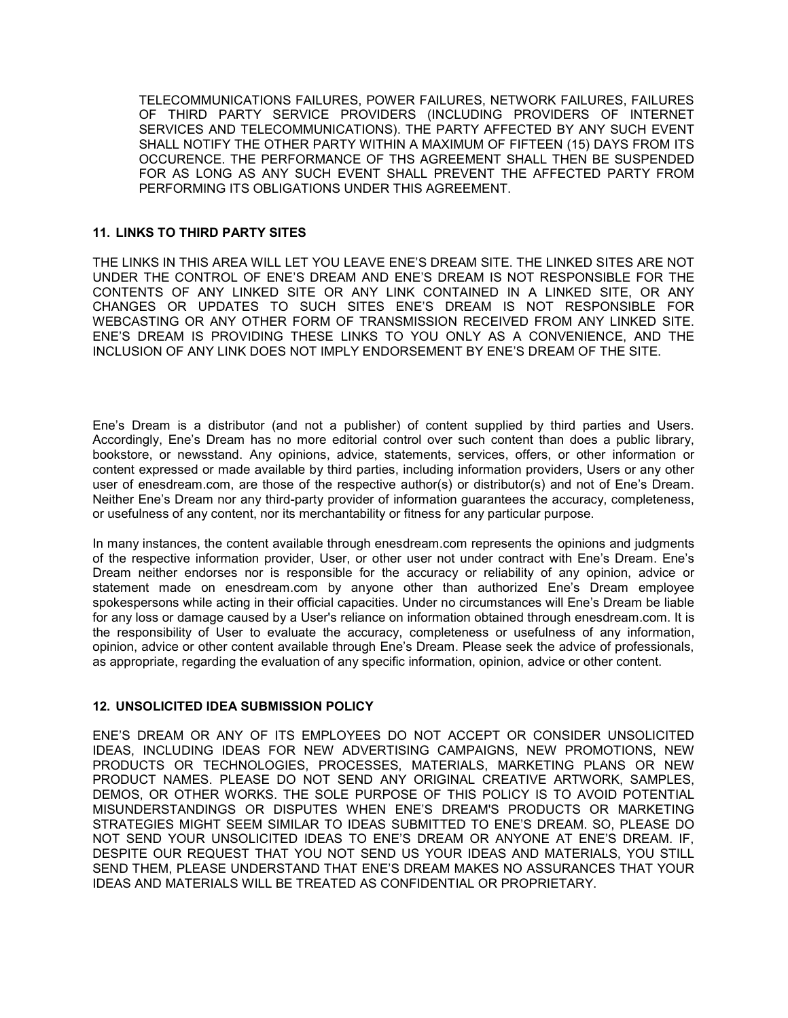TELECOMMUNICATIONS FAILURES, POWER FAILURES, NETWORK FAILURES, FAILURES OF THIRD PARTY SERVICE PROVIDERS (INCLUDING PROVIDERS OF INTERNET SERVICES AND TELECOMMUNICATIONS). THE PARTY AFFECTED BY ANY SUCH EVENT SHALL NOTIFY THE OTHER PARTY WITHIN A MAXIMUM OF FIFTEEN (15) DAYS FROM ITS OCCURENCE. THE PERFORMANCE OF THS AGREEMENT SHALL THEN BE SUSPENDED FOR AS LONG AS ANY SUCH EVENT SHALL PREVENT THE AFFECTED PARTY FROM PERFORMING ITS OBLIGATIONS UNDER THIS AGREEMENT.

## 11. LINKS TO THIRD PARTY SITES

THE LINKS IN THIS AREA WILL LET YOU LEAVE ENE'S DREAM SITE. THE LINKED SITES ARE NOT UNDER THE CONTROL OF ENE'S DREAM AND ENE'S DREAM IS NOT RESPONSIBLE FOR THE CONTENTS OF ANY LINKED SITE OR ANY LINK CONTAINED IN A LINKED SITE, OR ANY CHANGES OR UPDATES TO SUCH SITES ENE'S DREAM IS NOT RESPONSIBLE FOR WEBCASTING OR ANY OTHER FORM OF TRANSMISSION RECEIVED FROM ANY LINKED SITE. ENE'S DREAM IS PROVIDING THESE LINKS TO YOU ONLY AS A CONVENIENCE, AND THE INCLUSION OF ANY LINK DOES NOT IMPLY ENDORSEMENT BY ENE'S DREAM OF THE SITE.

Ene's Dream is a distributor (and not a publisher) of content supplied by third parties and Users. Accordingly, Ene's Dream has no more editorial control over such content than does a public library, bookstore, or newsstand. Any opinions, advice, statements, services, offers, or other information or content expressed or made available by third parties, including information providers, Users or any other user of enesdream.com, are those of the respective author(s) or distributor(s) and not of Ene's Dream. Neither Ene's Dream nor any third-party provider of information guarantees the accuracy, completeness, or usefulness of any content, nor its merchantability or fitness for any particular purpose.

In many instances, the content available through enesdream.com represents the opinions and judgments of the respective information provider, User, or other user not under contract with Ene's Dream. Ene's Dream neither endorses nor is responsible for the accuracy or reliability of any opinion, advice or statement made on enesdream.com by anyone other than authorized Ene's Dream employee spokespersons while acting in their official capacities. Under no circumstances will Ene's Dream be liable for any loss or damage caused by a User's reliance on information obtained through enesdream.com. It is the responsibility of User to evaluate the accuracy, completeness or usefulness of any information, opinion, advice or other content available through Ene's Dream. Please seek the advice of professionals, as appropriate, regarding the evaluation of any specific information, opinion, advice or other content.

## 12. UNSOLICITED IDEA SUBMISSION POLICY

ENE'S DREAM OR ANY OF ITS EMPLOYEES DO NOT ACCEPT OR CONSIDER UNSOLICITED IDEAS, INCLUDING IDEAS FOR NEW ADVERTISING CAMPAIGNS, NEW PROMOTIONS, NEW PRODUCTS OR TECHNOLOGIES, PROCESSES, MATERIALS, MARKETING PLANS OR NEW PRODUCT NAMES. PLEASE DO NOT SEND ANY ORIGINAL CREATIVE ARTWORK, SAMPLES, DEMOS, OR OTHER WORKS. THE SOLE PURPOSE OF THIS POLICY IS TO AVOID POTENTIAL MISUNDERSTANDINGS OR DISPUTES WHEN ENE'S DREAM'S PRODUCTS OR MARKETING STRATEGIES MIGHT SEEM SIMILAR TO IDEAS SUBMITTED TO ENE'S DREAM. SO, PLEASE DO NOT SEND YOUR UNSOLICITED IDEAS TO ENE'S DREAM OR ANYONE AT ENE'S DREAM. IF, DESPITE OUR REQUEST THAT YOU NOT SEND US YOUR IDEAS AND MATERIALS, YOU STILL SEND THEM, PLEASE UNDERSTAND THAT ENE'S DREAM MAKES NO ASSURANCES THAT YOUR IDEAS AND MATERIALS WILL BE TREATED AS CONFIDENTIAL OR PROPRIETARY.